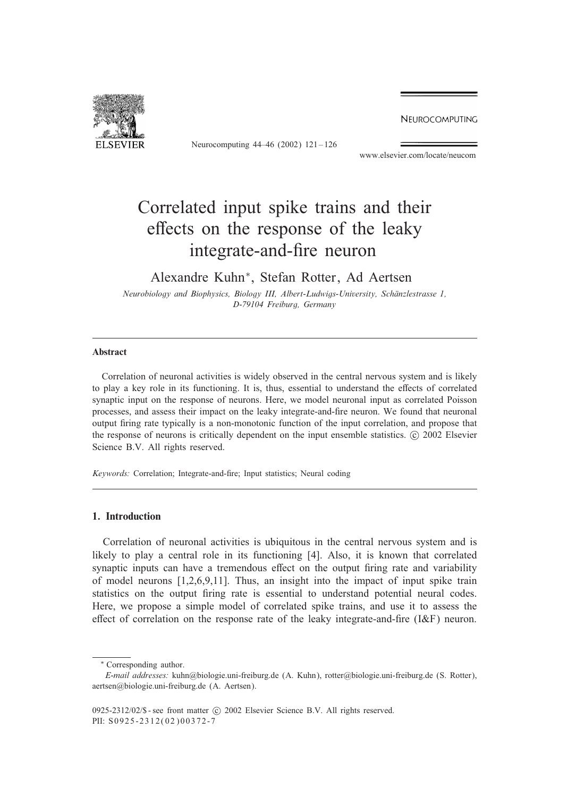NEUROCOMPUTING



Neurocomputing 44–46 (2002) 121 – 126

www.elsevier.com/locate/neucom

# Correlated input spike trains and their effects on the response of the leaky integrate-and-fire neuron

Alexandre Kuhn∗, Stefan Rotter, Ad Aertsen

*Neurobiology and Biophysics, Biology III, Albert-Ludwigs-University, Schanzlestrasse 1, D-79104 Freiburg, Germany*

# Abstract

Correlation of neuronal activities is widely observed in the central nervous system and is likely to play a key role in its functioning. It is, thus, essential to understand the effects of correlated synaptic input on the response of neurons. Here, we model neuronal input as correlated Poisson processes, and assess their impact on the leaky integrate-and-\$re neuron. We found that neuronal output \$ring rate typically is a non-monotonic function of the input correlation, and propose that the response of neurons is critically dependent on the input ensemble statistics. © 2002 Elsevier Science B.V. All rights reserved.

*Keywords:* Correlation; Integrate-and-fire; Input statistics; Neural coding

# 1. Introduction

Correlation of neuronal activities is ubiquitous in the central nervous system and is likely to play a central role in its functioning [4]. Also, it is known that correlated synaptic inputs can have a tremendous effect on the output firing rate and variability of model neurons [1,2,6,9,11]. Thus, an insight into the impact of input spike train statistics on the output firing rate is essential to understand potential neural codes. Here, we propose a simple model of correlated spike trains, and use it to assess the effect of correlation on the response rate of the leaky integrate-and-fire  $(I\&F)$  neuron.

<sup>∗</sup> Corresponding author.

*E-mail addresses:* kuhn@biologie.uni-freiburg.de (A. Kuhn), rotter@biologie.uni-freiburg.de (S. Rotter), aertsen@biologie.uni-freiburg.de (A. Aertsen).

<sup>0925-2312/02/\$ -</sup> see front matter  $\odot$  2002 Elsevier Science B.V. All rights reserved. PII: S0925-2312(02)00372-7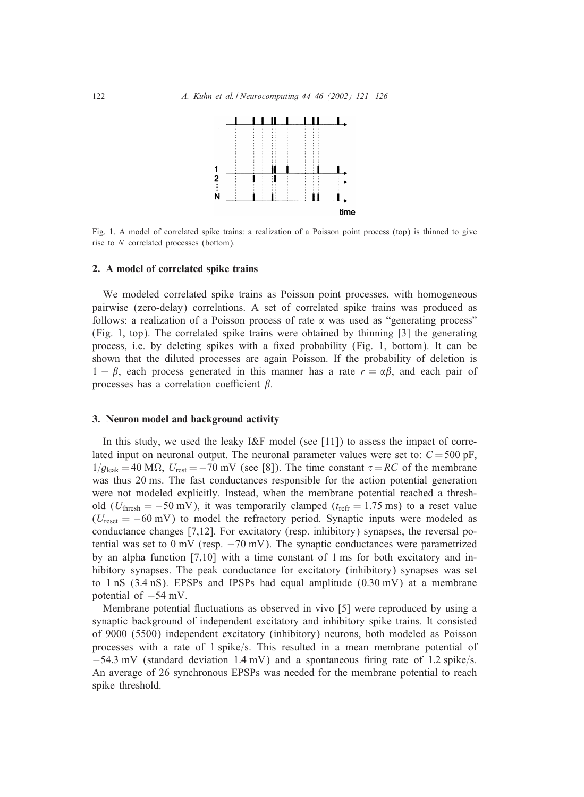

Fig. 1. A model of correlated spike trains: a realization of a Poisson point process (top) is thinned to give rise to N correlated processes (bottom).

## 2. A model of correlated spike trains

We modeled correlated spike trains as Poisson point processes, with homogeneous pairwise (zero-delay) correlations. A set of correlated spike trains was produced as follows: a realization of a Poisson process of rate  $\alpha$  was used as "generating process" (Fig. 1, top). The correlated spike trains were obtained by thinning [3] the generating process, i.e. by deleting spikes with a fixed probability (Fig. 1, bottom). It can be shown that the diluted processes are again Poisson. If the probability of deletion is  $1 - \beta$ , each process generated in this manner has a rate  $r = \alpha \beta$ , and each pair of processes has a correlation coefficient  $\beta$ .

## 3. Neuron model and background activity

In this study, we used the leaky I&F model (see [11]) to assess the impact of correlated input on neuronal output. The neuronal parameter values were set to:  $C = 500 \text{ pF}$ ,  $1/g_{\text{leak}} = 40 \text{ M}\Omega$ ,  $U_{\text{rest}} = -70 \text{ mV}$  (see [8]). The time constant  $\tau = RC$  of the membrane was thus 20 ms. The fast conductances responsible for the action potential generation were not modeled explicitly. Instead, when the membrane potential reached a threshold ( $U_{\text{thresh}} = -50 \text{ mV}$ ), it was temporarily clamped ( $t_{\text{refr}} = 1.75 \text{ ms}$ ) to a reset value  $(U_{\text{reset}} = -60 \text{ mV})$  to model the refractory period. Synaptic inputs were modeled as conductance changes [7,12]. For excitatory (resp. inhibitory) synapses, the reversal potential was set to  $0 \text{ mV}$  (resp.  $-70 \text{ mV}$ ). The synaptic conductances were parametrized by an alpha function [7,10] with a time constant of 1 ms for both excitatory and inhibitory synapses. The peak conductance for excitatory (inhibitory) synapses was set to 1 nS (3.4 nS). EPSPs and IPSPs had equal amplitude  $(0.30 \text{ mV})$  at a membrane potential of  $-54$  mV.

Membrane potential fluctuations as observed in vivo [5] were reproduced by using a synaptic background of independent excitatory and inhibitory spike trains. It consisted of 9000 (5500) independent excitatory (inhibitory) neurons, both modeled as Poisson processes with a rate of  $1$  spike/s. This resulted in a mean membrane potential of  $-54.3$  mV (standard deviation 1.4 mV) and a spontaneous firing rate of 1.2 spike/s. An average of 26 synchronous EPSPs was needed for the membrane potential to reach spike threshold.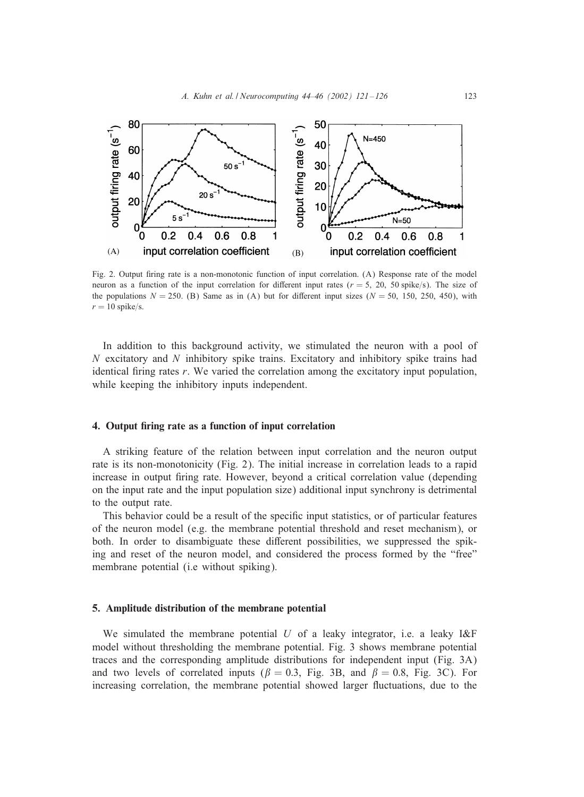

Fig. 2. Output firing rate is a non-monotonic function of input correlation. (A) Response rate of the model neuron as a function of the input correlation for different input rates ( $r = 5$ , 20, 50 spike/s). The size of the populations  $N = 250$ . (B) Same as in (A) but for different input sizes ( $N = 50$ , 150, 250, 450), with  $r=10$  spike/s.

In addition to this background activity, we stimulated the neuron with a pool of  $N$  excitatory and  $N$  inhibitory spike trains. Excitatory and inhibitory spike trains had identical firing rates r. We varied the correlation among the excitatory input population, while keeping the inhibitory inputs independent.

# 4. Output firing rate as a function of input correlation

A striking feature of the relation between input correlation and the neuron output rate is its non-monotonicity (Fig. 2). The initial increase in correlation leads to a rapid increase in output firing rate. However, beyond a critical correlation value (depending on the input rate and the input population size) additional input synchrony is detrimental to the output rate.

This behavior could be a result of the specific input statistics, or of particular features of the neuron model (e.g. the membrane potential threshold and reset mechanism), or both. In order to disambiguate these different possibilities, we suppressed the spiking and reset of the neuron model, and considered the process formed by the "free" membrane potential (i.e without spiking).

# 5. Amplitude distribution of the membrane potential

We simulated the membrane potential U of a leaky integrator, i.e. a leaky  $I\&F$ model without thresholding the membrane potential. Fig. 3 shows membrane potential traces and the corresponding amplitude distributions for independent input (Fig. 3A) and two levels of correlated inputs ( $\beta = 0.3$ , Fig. 3B, and  $\beta = 0.8$ , Fig. 3C). For increasing correlation, the membrane potential showed larger Iuctuations, due to the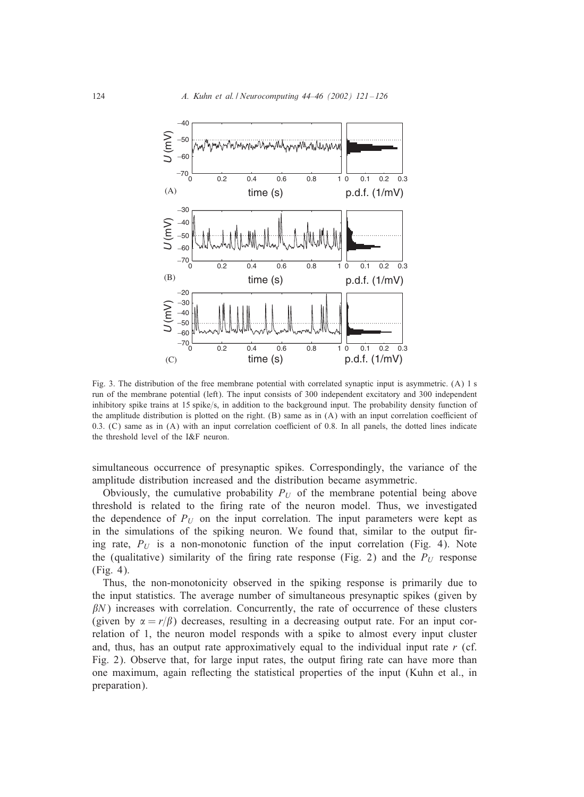

Fig. 3. The distribution of the free membrane potential with correlated synaptic input is asymmetric. (A) 1 s run of the membrane potential (left). The input consists of 300 independent excitatory and 300 independent inhibitory spike trains at 15 spike/s, in addition to the background input. The probability density function of the amplitude distribution is plotted on the right.  $(B)$  same as in  $(A)$  with an input correlation coefficient of  $0.3$ . (C) same as in (A) with an input correlation coefficient of 0.8. In all panels, the dotted lines indicate the threshold level of the I&F neuron.

simultaneous occurrence of presynaptic spikes. Correspondingly, the variance of the amplitude distribution increased and the distribution became asymmetric.

Obviously, the cumulative probability  $P_U$  of the membrane potential being above threshold is related to the firing rate of the neuron model. Thus, we investigated the dependence of  $P_U$  on the input correlation. The input parameters were kept as in the simulations of the spiking neuron. We found that, similar to the output firing rate,  $P_U$  is a non-monotonic function of the input correlation (Fig. 4). Note the (qualitative) similarity of the firing rate response (Fig. 2) and the  $P_U$  response (Fig. 4).

Thus, the non-monotonicity observed in the spiking response is primarily due to the input statistics. The average number of simultaneous presynaptic spikes (given by  $\beta$ N) increases with correlation. Concurrently, the rate of occurrence of these clusters (given by  $\alpha = r/\beta$ ) decreases, resulting in a decreasing output rate. For an input correlation of 1, the neuron model responds with a spike to almost every input cluster and, thus, has an output rate approximatively equal to the individual input rate  $r$  (cf. Fig. 2). Observe that, for large input rates, the output firing rate can have more than one maximum, again reIecting the statistical properties of the input (Kuhn et al., in preparation).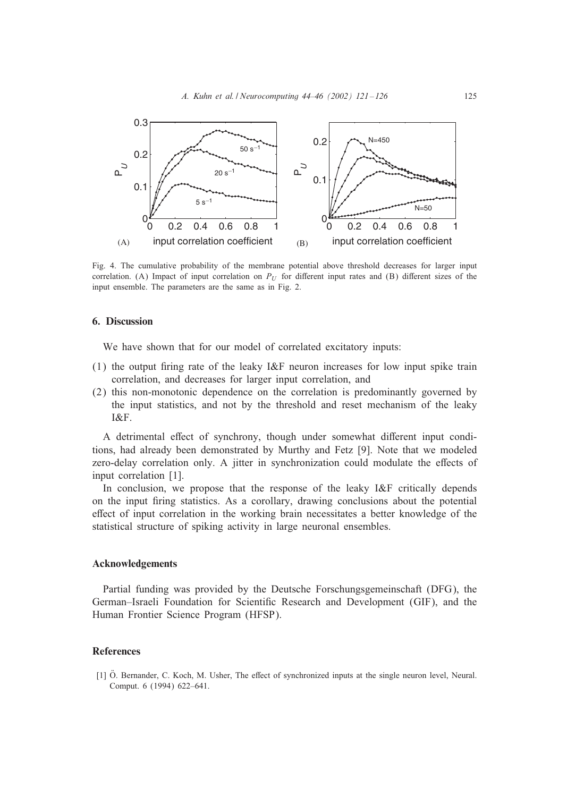

Fig. 4. The cumulative probability of the membrane potential above threshold decreases for larger input correlation. (A) Impact of input correlation on  $P_U$  for different input rates and (B) different sizes of the input ensemble. The parameters are the same as in Fig. 2.

#### 6. Discussion

We have shown that for our model of correlated excitatory inputs:

- (1) the output firing rate of the leaky I&F neuron increases for low input spike train correlation, and decreases for larger input correlation, and
- (2) this non-monotonic dependence on the correlation is predominantly governed by the input statistics, and not by the threshold and reset mechanism of the leaky I&F.

A detrimental effect of synchrony, though under somewhat different input conditions, had already been demonstrated by Murthy and Fetz [9]. Note that we modeled zero-delay correlation only. A jitter in synchronization could modulate the effects of input correlation [1].

In conclusion, we propose that the response of the leaky I&F critically depends on the input \$ring statistics. As a corollary, drawing conclusions about the potential effect of input correlation in the working brain necessitates a better knowledge of the statistical structure of spiking activity in large neuronal ensembles.

# Acknowledgements

Partial funding was provided by the Deutsche Forschungsgemeinschaft (DFG), the German–Israeli Foundation for Scientific Research and Development (GIF), and the Human Frontier Science Program (HFSP).

## **References**

[1] Ö. Bernander, C. Koch, M. Usher, The effect of synchronized inputs at the single neuron level, Neural. Comput. 6 (1994) 622–641.